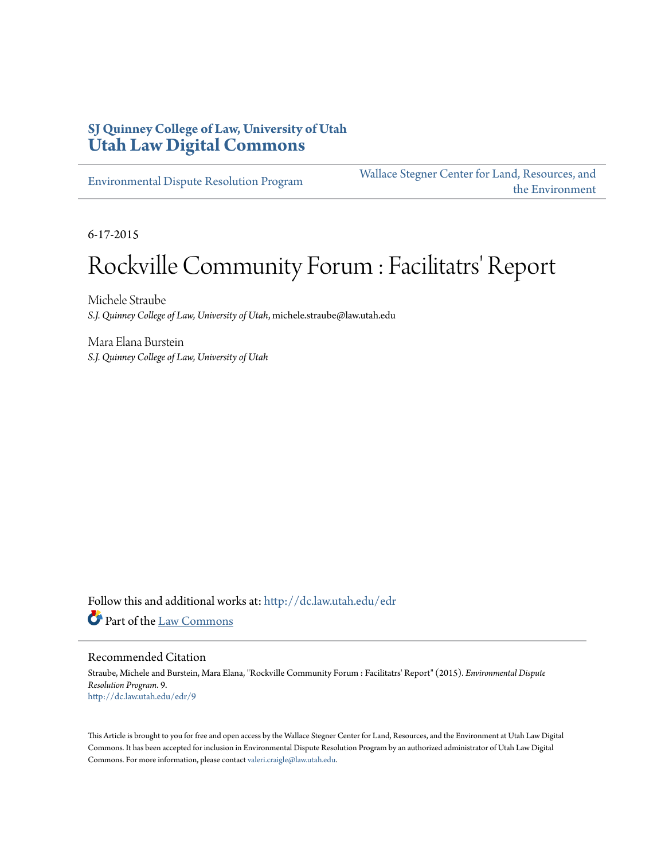#### **SJ Quinney College of Law, University of Utah [Utah Law Digital Commons](http://dc.law.utah.edu?utm_source=dc.law.utah.edu%2Fedr%2F9&utm_medium=PDF&utm_campaign=PDFCoverPages)**

[Environmental Dispute Resolution Program](http://dc.law.utah.edu/edr?utm_source=dc.law.utah.edu%2Fedr%2F9&utm_medium=PDF&utm_campaign=PDFCoverPages)

[Wallace Stegner Center for Land, Resources, and](http://dc.law.utah.edu/stegner?utm_source=dc.law.utah.edu%2Fedr%2F9&utm_medium=PDF&utm_campaign=PDFCoverPages) [the Environment](http://dc.law.utah.edu/stegner?utm_source=dc.law.utah.edu%2Fedr%2F9&utm_medium=PDF&utm_campaign=PDFCoverPages)

6-17-2015

# Rockville Community Forum : Facilitatrs' Report

Michele Straube *S.J. Quinney College of Law, University of Utah*, michele.straube@law.utah.edu

Mara Elana Burstein *S.J. Quinney College of Law, University of Utah*

Follow this and additional works at: [http://dc.law.utah.edu/edr](http://dc.law.utah.edu/edr?utm_source=dc.law.utah.edu%2Fedr%2F9&utm_medium=PDF&utm_campaign=PDFCoverPages) Part of the [Law Commons](http://network.bepress.com/hgg/discipline/578?utm_source=dc.law.utah.edu%2Fedr%2F9&utm_medium=PDF&utm_campaign=PDFCoverPages)

#### Recommended Citation

Straube, Michele and Burstein, Mara Elana, "Rockville Community Forum : Facilitatrs' Report" (2015). *Environmental Dispute Resolution Program*. 9. [http://dc.law.utah.edu/edr/9](http://dc.law.utah.edu/edr/9?utm_source=dc.law.utah.edu%2Fedr%2F9&utm_medium=PDF&utm_campaign=PDFCoverPages)

This Article is brought to you for free and open access by the Wallace Stegner Center for Land, Resources, and the Environment at Utah Law Digital Commons. It has been accepted for inclusion in Environmental Dispute Resolution Program by an authorized administrator of Utah Law Digital Commons. For more information, please contact [valeri.craigle@law.utah.edu](mailto:valeri.craigle@law.utah.edu).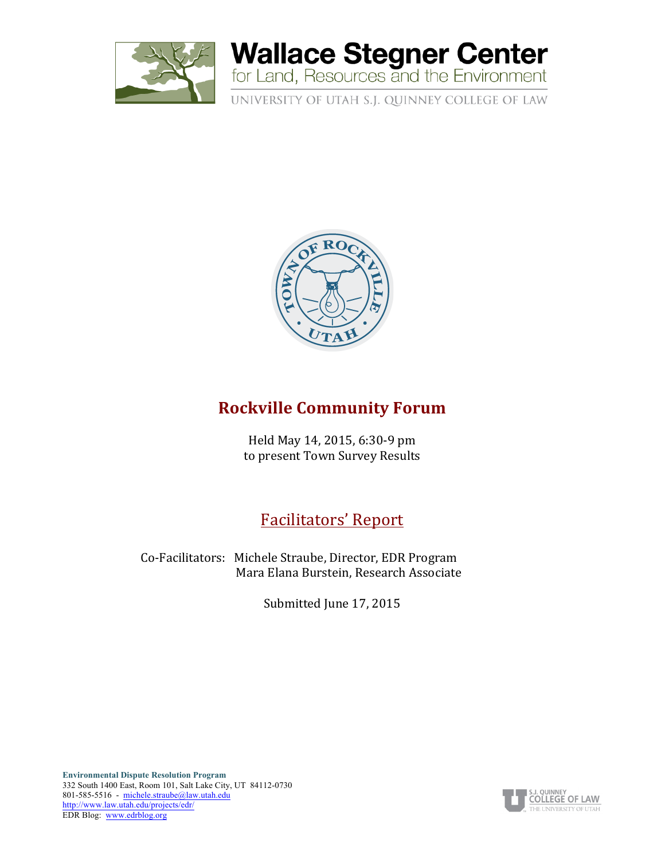

# **Wallace Stegner Center**<br>for Land, Resources and the Environment

UNIVERSITY OF UTAH S.J. QUINNEY COLLEGE OF LAW



### **Rockville Community Forum**

Held May 14, 2015, 6:30-9 pm to present Town Survey Results

# Facilitators' Report

Co-Facilitators: Michele Straube, Director, EDR Program Mara Elana Burstein, Research Associate

Submitted June 17, 2015

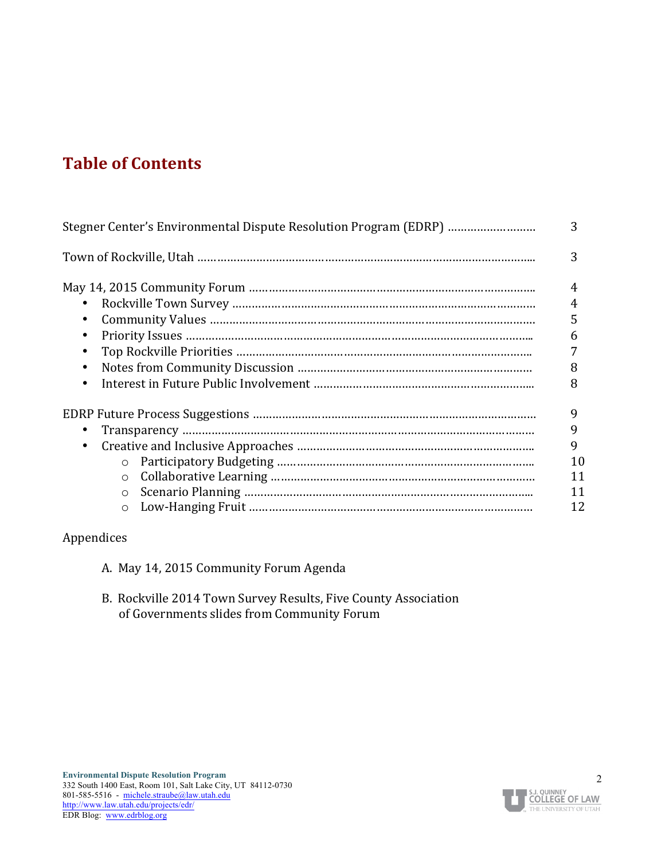# **Table of Contents**

| Stegner Center's Environmental Dispute Resolution Program (EDRP) | 3                                   |
|------------------------------------------------------------------|-------------------------------------|
|                                                                  | 3                                   |
| $\bullet$<br>$\bullet$<br>$\bullet$<br>$\bullet$<br>$\bullet$    | 4<br>4<br>5<br>6<br>8<br>8          |
| $\bullet$<br>$\bullet$<br>$\circ$<br>$\circ$                     | 9<br>9<br>9<br>10<br>11<br>11<br>12 |

#### Appendices

- A. May 14, 2015 Community Forum Agenda
- B. Rockville 2014 Town Survey Results, Five County Association of Governments slides from Community Forum

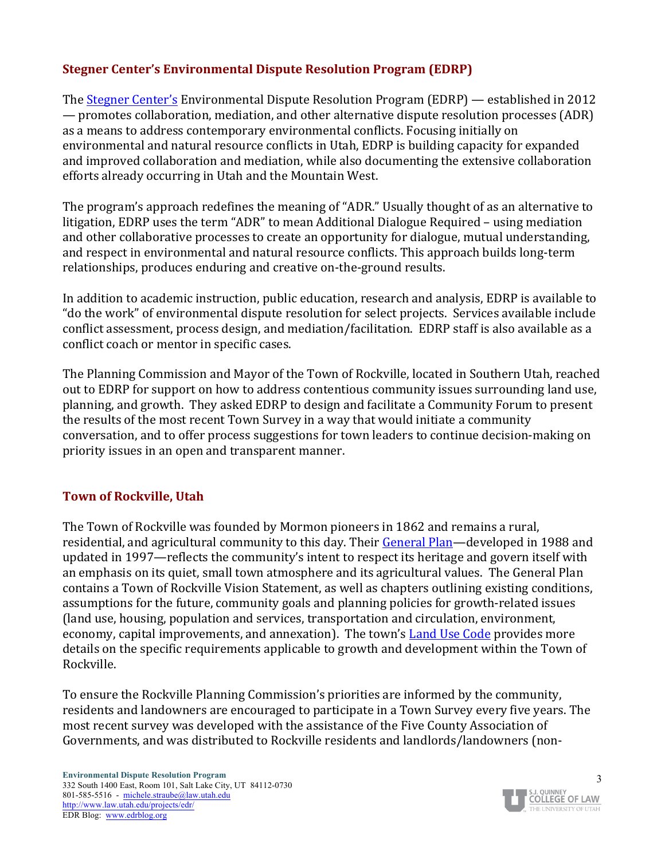#### **Stegner Center's Environmental Dispute Resolution Program (EDRP)**

The Stegner Center's Environmental Dispute Resolution Program (EDRP) — established in 2012 — promotes collaboration, mediation, and other alternative dispute resolution processes (ADR) as a means to address contemporary environmental conflicts. Focusing initially on environmental and natural resource conflicts in Utah, EDRP is building capacity for expanded and improved collaboration and mediation, while also documenting the extensive collaboration efforts already occurring in Utah and the Mountain West.

The program's approach redefines the meaning of "ADR." Usually thought of as an alternative to litigation, EDRP uses the term "ADR" to mean Additional Dialogue Required – using mediation and other collaborative processes to create an opportunity for dialogue, mutual understanding, and respect in environmental and natural resource conflicts. This approach builds long-term relationships, produces enduring and creative on-the-ground results.

In addition to academic instruction, public education, research and analysis, EDRP is available to "do the work" of environmental dispute resolution for select projects. Services available include conflict assessment, process design, and mediation/facilitation. EDRP staff is also available as a conflict coach or mentor in specific cases.

The Planning Commission and Mayor of the Town of Rockville, located in Southern Utah, reached out to EDRP for support on how to address contentious community issues surrounding land use, planning, and growth. They asked EDRP to design and facilitate a Community Forum to present the results of the most recent Town Survey in a way that would initiate a community conversation, and to offer process suggestions for town leaders to continue decision-making on priority issues in an open and transparent manner.

#### **Town of Rockville, Utah**

The Town of Rockville was founded by Mormon pioneers in 1862 and remains a rural, residential, and agricultural community to this day. Their General Plan—developed in 1988 and updated in 1997—reflects the community's intent to respect its heritage and govern itself with an emphasis on its quiet, small town atmosphere and its agricultural values. The General Plan contains a Town of Rockville Vision Statement, as well as chapters outlining existing conditions, assumptions for the future, community goals and planning policies for growth-related issues (land use, housing, population and services, transportation and circulation, environment, economy, capital improvements, and annexation). The town's Land Use Code provides more details on the specific requirements applicable to growth and development within the Town of Rockville. 

To ensure the Rockville Planning Commission's priorities are informed by the community, residents and landowners are encouraged to participate in a Town Survey every five years. The most recent survey was developed with the assistance of the Five County Association of Governments, and was distributed to Rockville residents and landlords/landowners (non-

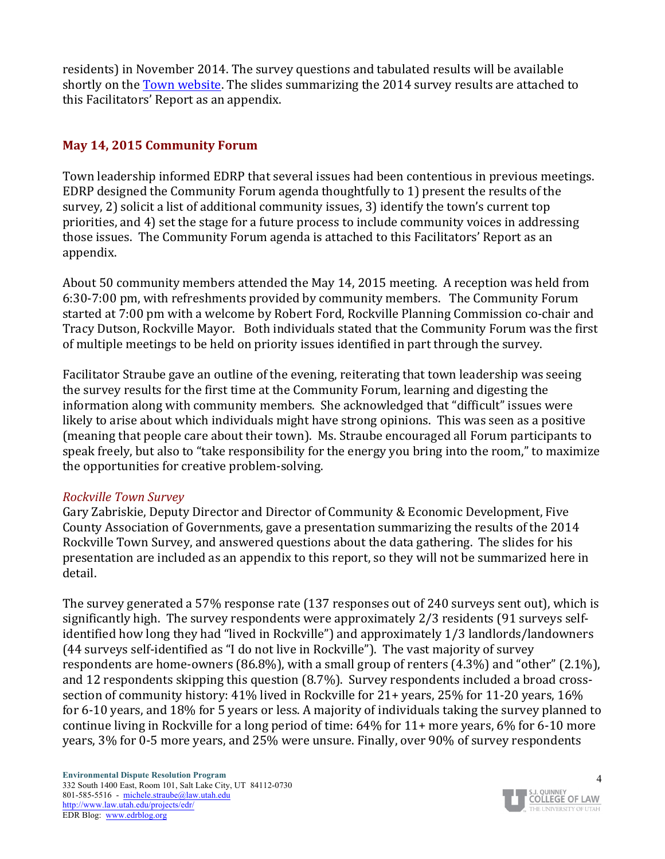residents) in November 2014. The survey questions and tabulated results will be available shortly on the Town website. The slides summarizing the 2014 survey results are attached to this Facilitators' Report as an appendix.

#### **May 14, 2015 Community Forum**

Town leadership informed EDRP that several issues had been contentious in previous meetings. EDRP designed the Community Forum agenda thoughtfully to 1) present the results of the survey, 2) solicit a list of additional community issues, 3) identify the town's current top priorities, and 4) set the stage for a future process to include community voices in addressing those issues. The Community Forum agenda is attached to this Facilitators' Report as an appendix.

About 50 community members attended the May 14, 2015 meeting. A reception was held from 6:30-7:00 pm, with refreshments provided by community members. The Community Forum started at 7:00 pm with a welcome by Robert Ford, Rockville Planning Commission co-chair and Tracy Dutson, Rockville Mayor. Both individuals stated that the Community Forum was the first of multiple meetings to be held on priority issues identified in part through the survey.

Facilitator Straube gave an outline of the evening, reiterating that town leadership was seeing the survey results for the first time at the Community Forum, learning and digesting the information along with community members. She acknowledged that "difficult" issues were likely to arise about which individuals might have strong opinions. This was seen as a positive (meaning that people care about their town). Ms. Straube encouraged all Forum participants to speak freely, but also to "take responsibility for the energy you bring into the room," to maximize the opportunities for creative problem-solving.

#### *Rockville Town Survey*

Gary Zabriskie, Deputy Director and Director of Community & Economic Development, Five County Association of Governments, gave a presentation summarizing the results of the 2014 Rockville Town Survey, and answered questions about the data gathering. The slides for his presentation are included as an appendix to this report, so they will not be summarized here in detail. 

The survey generated a 57% response rate (137 responses out of 240 surveys sent out), which is significantly high. The survey respondents were approximately 2/3 residents (91 surveys selfidentified how long they had "lived in Rockville") and approximately 1/3 landlords/landowners (44 surveys self-identified as "I do not live in Rockville"). The vast majority of survey respondents are home-owners  $(86.8\%)$ , with a small group of renters  $(4.3\%)$  and "other"  $(2.1\%)$ , and 12 respondents skipping this question (8.7%). Survey respondents included a broad crosssection of community history:  $41\%$  lived in Rockville for  $21+$  years,  $25\%$  for  $11-20$  years,  $16\%$ for 6-10 years, and 18% for 5 years or less. A majority of individuals taking the survey planned to continue living in Rockville for a long period of time:  $64\%$  for  $11+$  more years,  $6\%$  for  $6-10$  more years, 3% for 0-5 more years, and 25% were unsure. Finally, over 90% of survey respondents

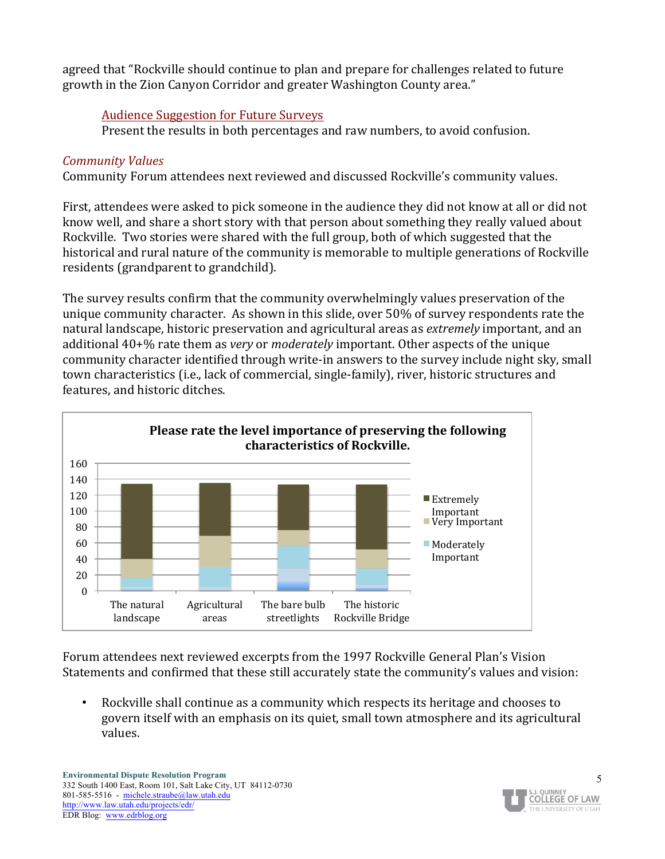agreed that "Rockville should continue to plan and prepare for challenges related to future growth in the Zion Canyon Corridor and greater Washington County area."

#### Audience Suggestion for Future Surveys

Present the results in both percentages and raw numbers, to avoid confusion.

#### *Community Values*

Community Forum attendees next reviewed and discussed Rockville's community values.

First, attendees were asked to pick someone in the audience they did not know at all or did not know well, and share a short story with that person about something they really valued about Rockville. Two stories were shared with the full group, both of which suggested that the historical and rural nature of the community is memorable to multiple generations of Rockville residents (grandparent to grandchild).

The survey results confirm that the community overwhelmingly values preservation of the unique community character. As shown in this slide, over 50% of survey respondents rate the natural landscape, historic preservation and agricultural areas as *extremely* important, and an additional 40+% rate them as *very* or *moderately* important. Other aspects of the unique community character identified through write-in answers to the survey include night sky, small town characteristics (i.e., lack of commercial, single-family), river, historic structures and features, and historic ditches.



Forum attendees next reviewed excerpts from the 1997 Rockville General Plan's Vision Statements and confirmed that these still accurately state the community's values and vision:

• Rockville shall continue as a community which respects its heritage and chooses to govern itself with an emphasis on its quiet, small town atmosphere and its agricultural values.

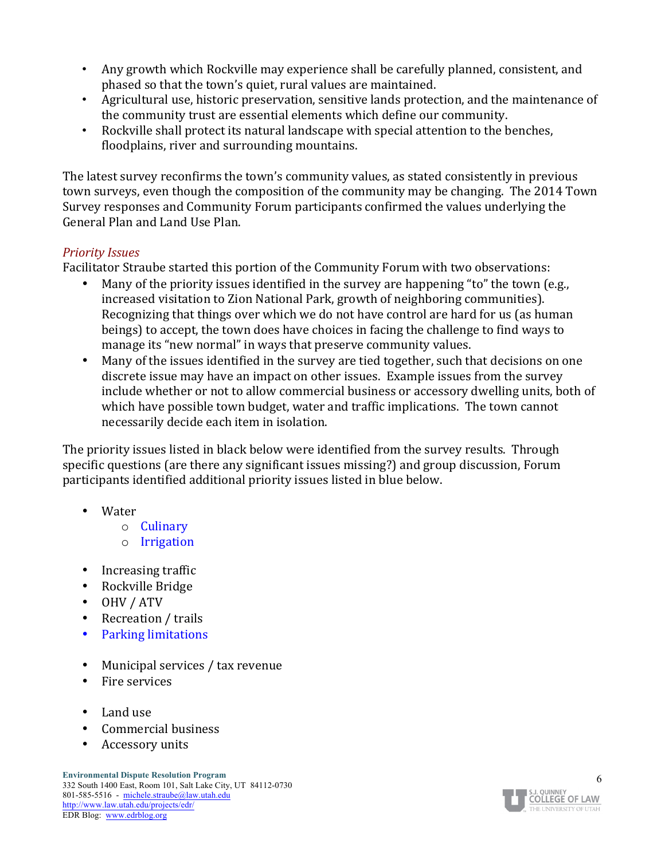- Any growth which Rockville may experience shall be carefully planned, consistent, and phased so that the town's quiet, rural values are maintained.
- Agricultural use, historic preservation, sensitive lands protection, and the maintenance of the community trust are essential elements which define our community.
- Rockville shall protect its natural landscape with special attention to the benches, floodplains, river and surrounding mountains.

The latest survey reconfirms the town's community values, as stated consistently in previous town surveys, even though the composition of the community may be changing. The 2014 Town Survey responses and Community Forum participants confirmed the values underlying the General Plan and Land Use Plan.

#### *Priority Issues*

Facilitator Straube started this portion of the Community Forum with two observations:

- Many of the priority issues identified in the survey are happening "to" the town (e.g., increased visitation to Zion National Park, growth of neighboring communities). Recognizing that things over which we do not have control are hard for us (as human beings) to accept, the town does have choices in facing the challenge to find ways to manage its "new normal" in ways that preserve community values.
- Many of the issues identified in the survey are tied together, such that decisions on one discrete issue may have an impact on other issues. Example issues from the survey include whether or not to allow commercial business or accessory dwelling units, both of which have possible town budget, water and traffic implications. The town cannot necessarily decide each item in isolation.

The priority issues listed in black below were identified from the survey results. Through specific questions (are there any significant issues missing?) and group discussion, Forum participants identified additional priority issues listed in blue below.

- Water
	- o Culinary
	- o Irrigation
- Increasing traffic
- Rockville Bridge
- OHV / ATV
- Recreation / trails
- Parking limitations
- Municipal services / tax revenue
- Fire services
- Land use
- Commercial business
- Accessory units

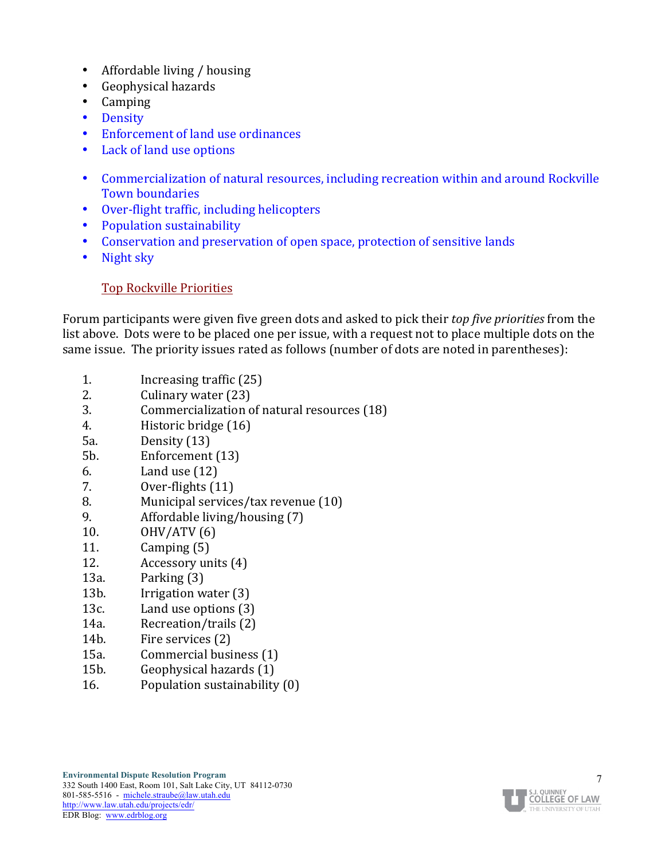- Affordable living  $/$  housing
- Geophysical hazards
- Camping
- Density
- Enforcement of land use ordinances
- Lack of land use options
- Commercialization of natural resources, including recreation within and around Rockville Town boundaries
- Over-flight traffic, including helicopters
- Population sustainability
- Conservation and preservation of open space, protection of sensitive lands
- Night sky

#### Top Rockville Priorities

Forum participants were given five green dots and asked to pick their *top five priorities* from the list above. Dots were to be placed one per issue, with a request not to place multiple dots on the same issue. The priority issues rated as follows (number of dots are noted in parentheses):

- 1. Increasing traffic (25)
- 2. Culinary water (23)
- 3. Commercialization of natural resources (18)
- 4. Historic bridge (16)
- 5a. Density (13)
- 5b. Enforcement (13)
- $6.$  Land use  $(12)$
- 7. Over-flights  $(11)$
- 8. Municipal services/tax revenue (10)
- 9.  $A$ ffordable living/housing  $(7)$
- 10.  $OHV/ATV(6)$
- 11.  $\text{Camping}(5)$
- 12. Accessory units (4)
- $13a.$  Parking  $(3)$
- 13b. Irrigation water (3)
- 13c. Land use options (3)
- 14a. Recreation/trails (2)
- 14b. Fire services (2)
- 15a. Commercial business (1)
- 15b. Geophysical hazards (1)
- 16. Population sustainability  $(0)$

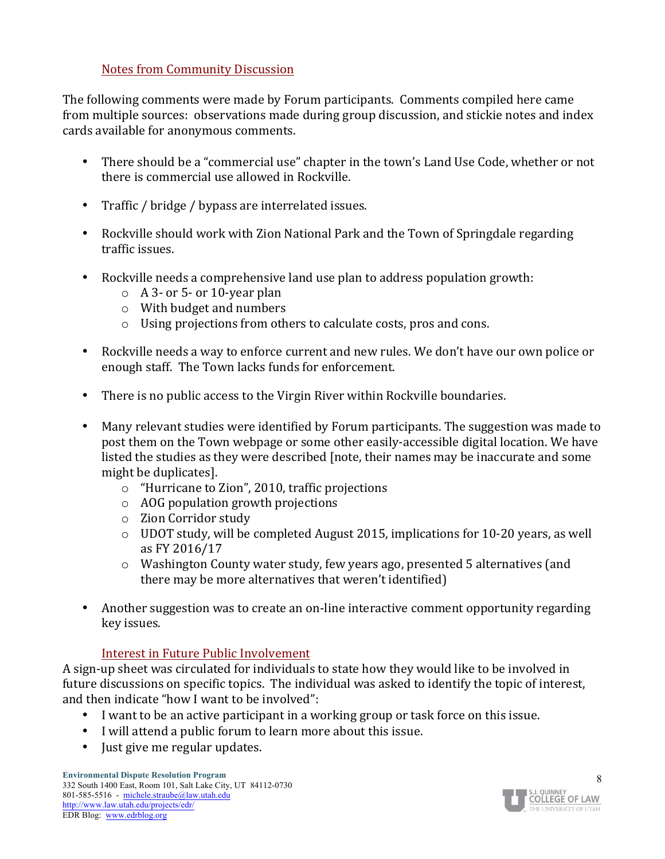#### Notes from Community Discussion

The following comments were made by Forum participants. Comments compiled here came from multiple sources: observations made during group discussion, and stickie notes and index cards available for anonymous comments.

- There should be a "commercial use" chapter in the town's Land Use Code, whether or not there is commercial use allowed in Rockville.
- Traffic / bridge / bypass are interrelated issues.
- Rockville should work with Zion National Park and the Town of Springdale regarding traffic issues.
- Rockville needs a comprehensive land use plan to address population growth:
	- $\circ$  A 3- or 5- or 10-year plan
	- $\circ$  With budget and numbers
	- $\circ$  Using projections from others to calculate costs, pros and cons.
- Rockville needs a way to enforce current and new rules. We don't have our own police or enough staff. The Town lacks funds for enforcement.
- There is no public access to the Virgin River within Rockville boundaries.
- Many relevant studies were identified by Forum participants. The suggestion was made to post them on the Town webpage or some other easily-accessible digital location. We have listed the studies as they were described [note, their names may be inaccurate and some might be duplicates].
	- $\circ$  "Hurricane to Zion", 2010, traffic projections
	- $\circ$  AOG population growth projections
	- $\circ$  Zion Corridor study
	- $\circ$  UDOT study, will be completed August 2015, implications for 10-20 years, as well as FY 2016/17
	- $\circ$  Washington County water study, few years ago, presented 5 alternatives (and there may be more alternatives that weren't identified)
- Another suggestion was to create an on-line interactive comment opportunity regarding key issues.

#### Interest in Future Public Involvement

A sign-up sheet was circulated for individuals to state how they would like to be involved in future discussions on specific topics. The individual was asked to identify the topic of interest, and then indicate "how I want to be involved":

- I want to be an active participant in a working group or task force on this issue.
- I will attend a public forum to learn more about this issue.
- Just give me regular updates.

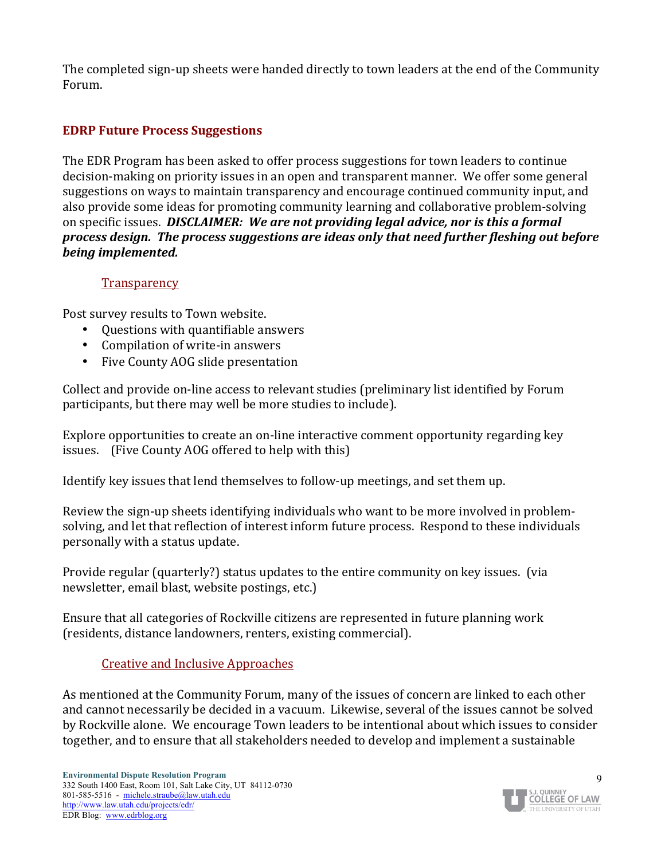The completed sign-up sheets were handed directly to town leaders at the end of the Community Forum.

#### **EDRP Future Process Suggestions**

The EDR Program has been asked to offer process suggestions for town leaders to continue decision-making on priority issues in an open and transparent manner. We offer some general suggestions on ways to maintain transparency and encourage continued community input, and also provide some ideas for promoting community learning and collaborative problem-solving on specific issues. *DISCLAIMER: We are not providing legal advice, nor is this a formal process design. The process suggestions are ideas only that need further fleshing out before being implemented.*

#### **Transparency**

Post survey results to Town website.

- Questions with quantifiable answers
- Compilation of write-in answers
- Five County AOG slide presentation

Collect and provide on-line access to relevant studies (preliminary list identified by Forum participants, but there may well be more studies to include).

Explore opportunities to create an on-line interactive comment opportunity regarding key issues. (Five County AOG offered to help with this)

Identify key issues that lend themselves to follow-up meetings, and set them up.

Review the sign-up sheets identifying individuals who want to be more involved in problemsolving, and let that reflection of interest inform future process. Respond to these individuals personally with a status update.

Provide regular (quarterly?) status updates to the entire community on key issues. (via newsletter, email blast, website postings, etc.)

Ensure that all categories of Rockville citizens are represented in future planning work (residents, distance landowners, renters, existing commercial).

#### **Creative and Inclusive Approaches**

As mentioned at the Community Forum, many of the issues of concern are linked to each other and cannot necessarily be decided in a vacuum. Likewise, several of the issues cannot be solved by Rockville alone. We encourage Town leaders to be intentional about which issues to consider together, and to ensure that all stakeholders needed to develop and implement a sustainable

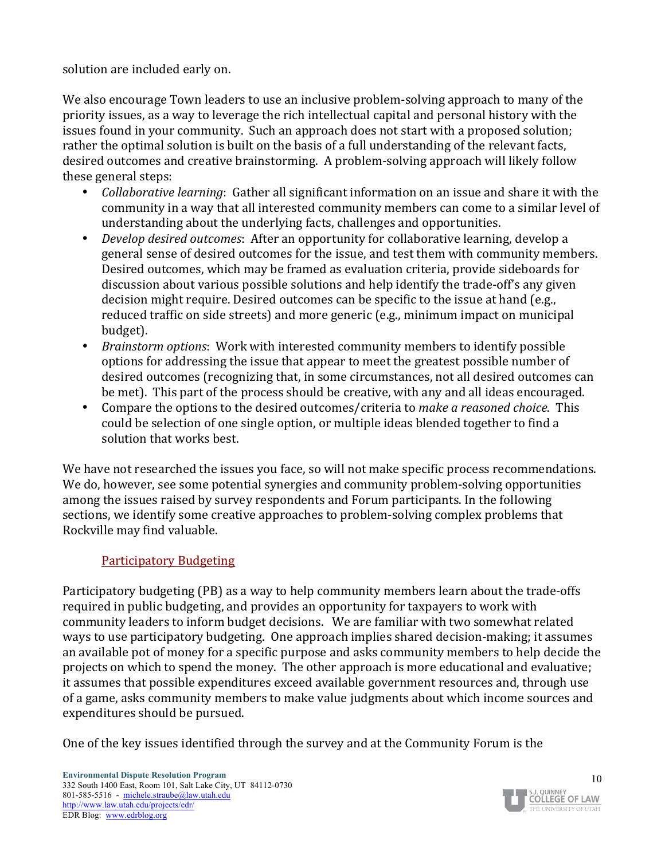solution are included early on.

We also encourage Town leaders to use an inclusive problem-solving approach to many of the priority issues, as a way to leverage the rich intellectual capital and personal history with the issues found in your community. Such an approach does not start with a proposed solution; rather the optimal solution is built on the basis of a full understanding of the relevant facts, desired outcomes and creative brainstorming. A problem-solving approach will likely follow these general steps:

- *Collaborative learning*: Gather all significant information on an issue and share it with the community in a way that all interested community members can come to a similar level of understanding about the underlying facts, challenges and opportunities.
- *Develop desired outcomes*: After an opportunity for collaborative learning, develop a general sense of desired outcomes for the issue, and test them with community members. Desired outcomes, which may be framed as evaluation criteria, provide sideboards for discussion about various possible solutions and help identify the trade-off's any given decision might require. Desired outcomes can be specific to the issue at hand (e.g., reduced traffic on side streets) and more generic (e.g., minimum impact on municipal budget).
- *Brainstorm options*: Work with interested community members to identify possible options for addressing the issue that appear to meet the greatest possible number of desired outcomes (recognizing that, in some circumstances, not all desired outcomes can be met). This part of the process should be creative, with any and all ideas encouraged.
- Compare the options to the desired outcomes/criteria to make a reasoned choice. This could be selection of one single option, or multiple ideas blended together to find a solution that works best.

We have not researched the issues you face, so will not make specific process recommendations. We do, however, see some potential synergies and community problem-solving opportunities among the issues raised by survey respondents and Forum participants. In the following sections, we identify some creative approaches to problem-solving complex problems that Rockville may find valuable.

#### Participatory Budgeting

Participatory budgeting (PB) as a way to help community members learn about the trade-offs required in public budgeting, and provides an opportunity for taxpayers to work with community leaders to inform budget decisions. We are familiar with two somewhat related ways to use participatory budgeting. One approach implies shared decision-making; it assumes an available pot of money for a specific purpose and asks community members to help decide the projects on which to spend the money. The other approach is more educational and evaluative; it assumes that possible expenditures exceed available government resources and, through use of a game, asks community members to make value judgments about which income sources and expenditures should be pursued.

One of the key issues identified through the survey and at the Community Forum is the

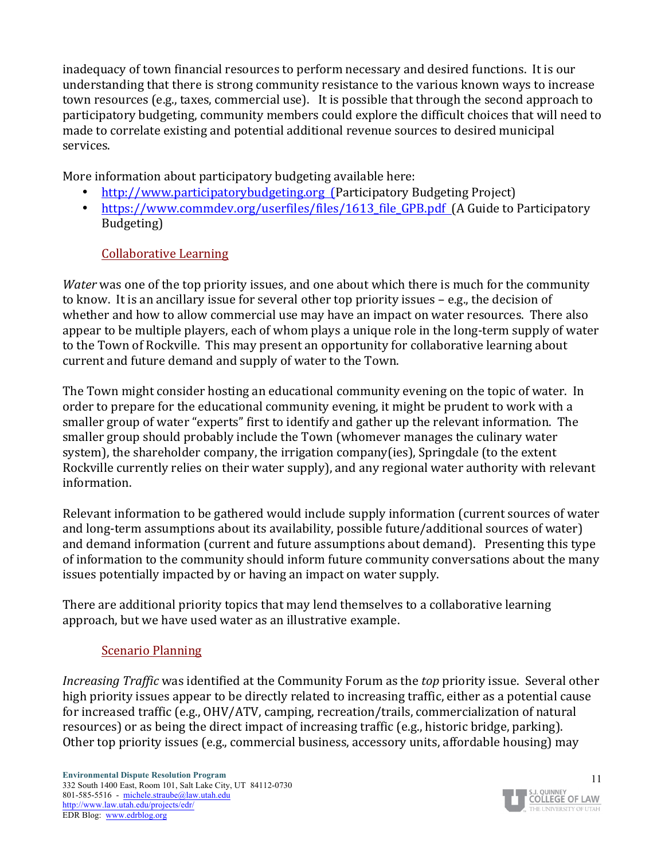inadequacy of town financial resources to perform necessary and desired functions. It is our understanding that there is strong community resistance to the various known ways to increase town resources (e.g., taxes, commercial use). It is possible that through the second approach to participatory budgeting, community members could explore the difficult choices that will need to made to correlate existing and potential additional revenue sources to desired municipal services.

More information about participatory budgeting available here:

- http://www.participatorybudgeting.org (Participatory Budgeting Project)
- https://www.commdev.org/userfiles/files/1613\_file\_GPB.pdf (A Guide to Participatory Budgeting)

#### Collaborative Learning

*Water* was one of the top priority issues, and one about which there is much for the community to know. It is an ancillary issue for several other top priority issues  $-e.g.,$  the decision of whether and how to allow commercial use may have an impact on water resources. There also appear to be multiple players, each of whom plays a unique role in the long-term supply of water to the Town of Rockville. This may present an opportunity for collaborative learning about current and future demand and supply of water to the Town.

The Town might consider hosting an educational community evening on the topic of water. In order to prepare for the educational community evening, it might be prudent to work with a smaller group of water "experts" first to identify and gather up the relevant information. The smaller group should probably include the Town (whomever manages the culinary water system), the shareholder company, the irrigation company(ies), Springdale (to the extent Rockville currently relies on their water supply), and any regional water authority with relevant information. 

Relevant information to be gathered would include supply information (current sources of water and long-term assumptions about its availability, possible future/additional sources of water) and demand information (current and future assumptions about demand). Presenting this type of information to the community should inform future community conversations about the many issues potentially impacted by or having an impact on water supply.

There are additional priority topics that may lend themselves to a collaborative learning approach, but we have used water as an illustrative example.

#### Scenario Planning

*Increasing Traffic* was identified at the Community Forum as the *top* priority issue. Several other high priority issues appear to be directly related to increasing traffic, either as a potential cause for increased traffic (e.g., OHV/ATV, camping, recreation/trails, commercialization of natural resources) or as being the direct impact of increasing traffic (e.g., historic bridge, parking). Other top priority issues (e.g., commercial business, accessory units, affordable housing) may